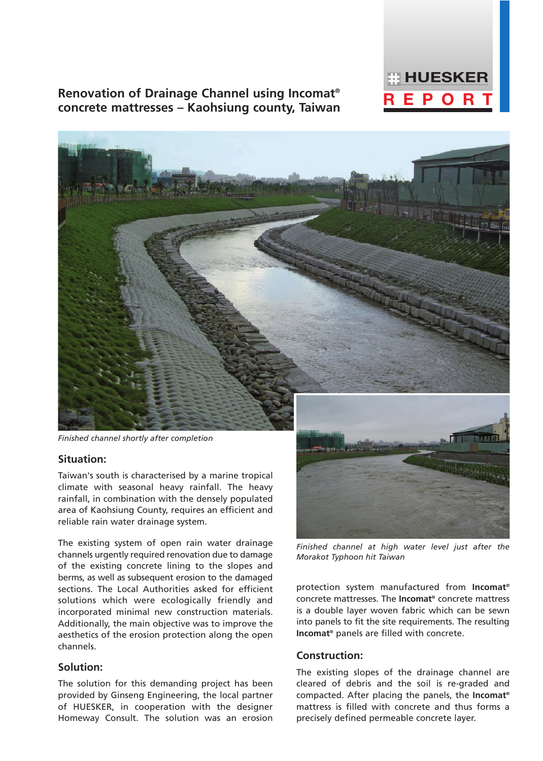

## **Renovation of Drainage Channel using Incomat® concrete mattresses – Kaohsiung county, Taiwan REPORTY**

*Finished channel shortly after completion*

### **Situation:**

Taiwan's south is characterised by a marine tropical climate with seasonal heavy rainfall. The heavy rainfall, in combination with the densely populated area of Kaohsiung County, requires an efficient and reliable rain water drainage system.

The existing system of open rain water drainage channels urgently required renovation due to damage of the existing concrete lining to the slopes and berms, as well as subsequent erosion to the damaged sections. The Local Authorities asked for efficient solutions which were ecologically friendly and incorporated minimal new construction materials. Additionally, the main objective was to improve the aesthetics of the erosion protection along the open channels.

### **Solution:**

The solution for this demanding project has been provided by Ginseng Engineering, the local partner of HUESKER, in cooperation with the designer Homeway Consult. The solution was an erosion



*Finished channel at high water level just after the Morakot Typhoon hit Taiwan*

protection system manufactured from **Incomat®** concrete mattresses. The **Incomat®** concrete mattress is a double layer woven fabric which can be sewn into panels to fit the site requirements. The resulting **Incomat®** panels are filled with concrete.

### **Construction:**

The existing slopes of the drainage channel are cleared of debris and the soil is re-graded and compacted. After placing the panels, the **Incomat®** mattress is filled with concrete and thus forms a precisely defined permeable concrete layer.